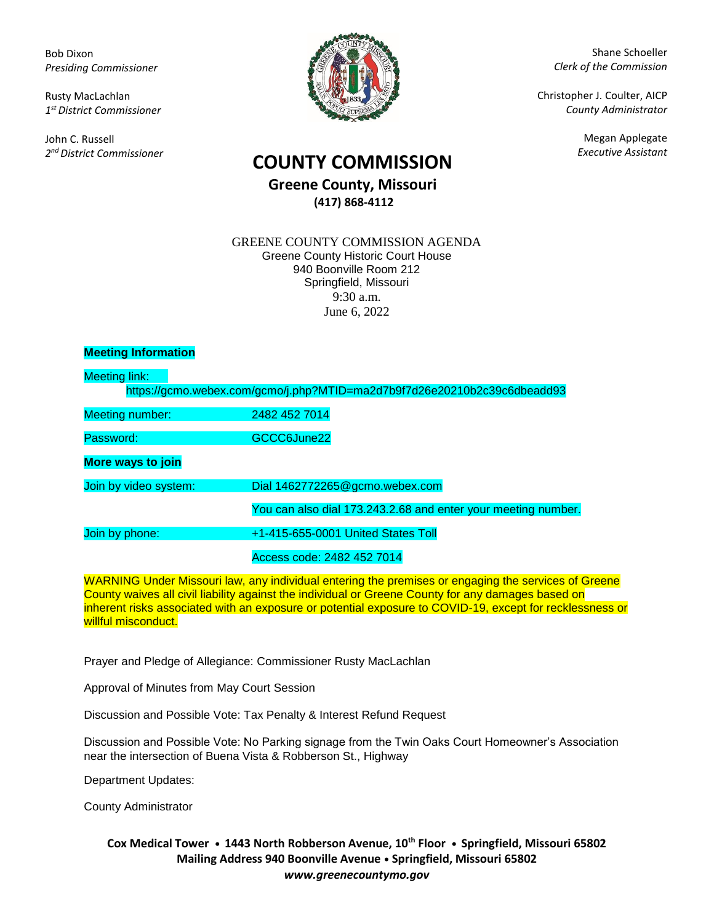Bob Dixon *Presiding Commissioner*

Rusty MacLachlan *1 st District Commissioner*

John C. Russell *2 nd District Commissioner*



Shane Schoeller *Clerk of the Commission*

Christopher J. Coulter, AICP *County Administrator*

Megan Applegate

# *Executive Assistant* **COUNTY COMMISSION**

## **Greene County, Missouri (417) 868-4112**

#### GREENE COUNTY COMMISSION AGENDA Greene County Historic Court House 940 Boonville Room 212 Springfield, Missouri 9:30 a.m. June 6, 2022

## **Meeting Information**

| Meeting link:          |                                                                          |
|------------------------|--------------------------------------------------------------------------|
|                        | https://gcmo.webex.com/gcmo/j.php?MTID=ma2d7b9f7d26e20210b2c39c6dbeadd93 |
| <b>Meeting number:</b> | 2482 452 7014                                                            |
| Password:              | GCCC6June22                                                              |
| More ways to join      |                                                                          |
| Join by video system:  | Dial 1462772265@gcmo.webex.com                                           |
|                        | You can also dial 173.243.2.68 and enter your meeting number.            |
| Join by phone:         | +1-415-655-0001 United States Toll                                       |
|                        | Access code: 2482 452 7014                                               |

WARNING Under Missouri law, any individual entering the premises or engaging the services of Greene County waives all civil liability against the individual or Greene County for any damages based on inherent risks associated with an exposure or potential exposure to COVID-19, except for recklessness or willful misconduct.

Prayer and Pledge of Allegiance: Commissioner Rusty MacLachlan

Approval of Minutes from May Court Session

Discussion and Possible Vote: Tax Penalty & Interest Refund Request

Discussion and Possible Vote: No Parking signage from the Twin Oaks Court Homeowner's Association near the intersection of Buena Vista & Robberson St., Highway

Department Updates:

County Administrator

## **Cox Medical Tower • 1443 North Robberson Avenue, 10th Floor • Springfield, Missouri 65802 Mailing Address 940 Boonville Avenue • Springfield, Missouri 65802** *www.greenecountymo.gov*